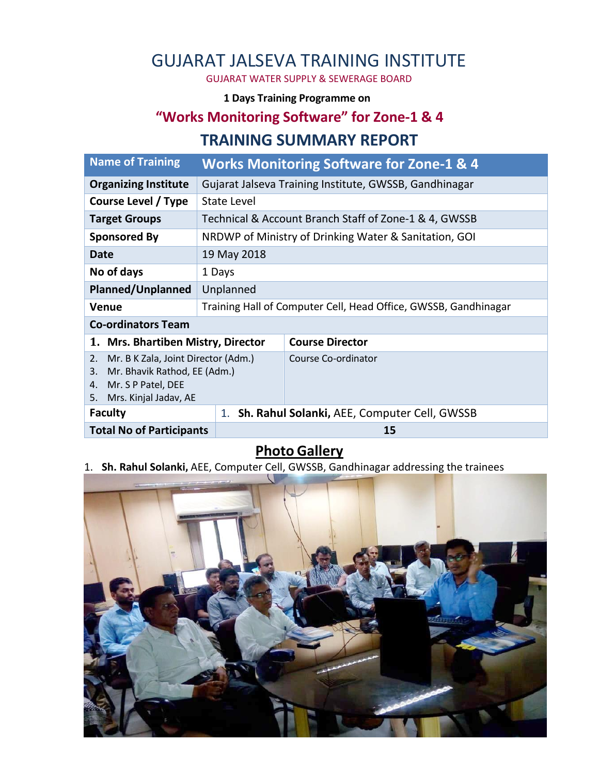# GUJARAT JALSEVA TRAINING INSTITUTE

GUJARAT WATER SUPPLY & SEWERAGE BOARD

#### **1 Days Training Programme on**

### **"Works Monitoring Software" for Zone-1 & 4**

#### **TRAINING SUMMARY REPORT**

| <b>Name of Training</b>                                                                                                                    | <b>Works Monitoring Software for Zone-1 &amp; 4</b>    |                                                                 |  |  |  |
|--------------------------------------------------------------------------------------------------------------------------------------------|--------------------------------------------------------|-----------------------------------------------------------------|--|--|--|
| <b>Organizing Institute</b>                                                                                                                | Gujarat Jalseva Training Institute, GWSSB, Gandhinagar |                                                                 |  |  |  |
| Course Level / Type                                                                                                                        | State Level                                            |                                                                 |  |  |  |
| <b>Target Groups</b>                                                                                                                       | Technical & Account Branch Staff of Zone-1 & 4, GWSSB  |                                                                 |  |  |  |
| <b>Sponsored By</b>                                                                                                                        |                                                        | NRDWP of Ministry of Drinking Water & Sanitation, GOI           |  |  |  |
| Date                                                                                                                                       | 19 May 2018                                            |                                                                 |  |  |  |
| No of days                                                                                                                                 | 1 Days                                                 |                                                                 |  |  |  |
| <b>Planned/Unplanned</b>                                                                                                                   | Unplanned                                              |                                                                 |  |  |  |
| <b>Venue</b>                                                                                                                               |                                                        | Training Hall of Computer Cell, Head Office, GWSSB, Gandhinagar |  |  |  |
| <b>Co-ordinators Team</b>                                                                                                                  |                                                        |                                                                 |  |  |  |
| 1. Mrs. Bhartiben Mistry, Director                                                                                                         |                                                        | <b>Course Director</b>                                          |  |  |  |
| Mr. B K Zala, Joint Director (Adm.)<br>2.<br>Mr. Bhavik Rathod, EE (Adm.)<br>3.<br>Mr. S P Patel, DEE<br>4.<br>Mrs. Kinjal Jadav, AE<br>5. |                                                        | Course Co-ordinator                                             |  |  |  |
| <b>Faculty</b>                                                                                                                             | 1.                                                     | Sh. Rahul Solanki, AEE, Computer Cell, GWSSB                    |  |  |  |
| <b>Total No of Participants</b>                                                                                                            |                                                        | 15                                                              |  |  |  |

## **Photo Gallery**

1. **Sh. Rahul Solanki,** AEE, Computer Cell, GWSSB, Gandhinagar addressing the trainees